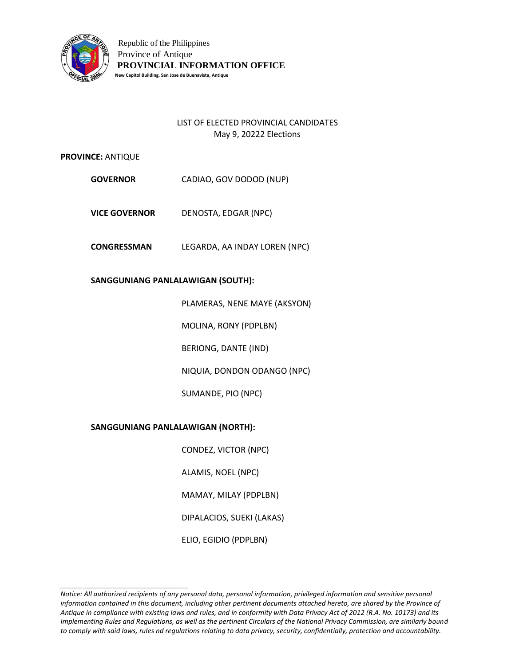

# LIST OF ELECTED PROVINCIAL CANDIDATES May 9, 20222 Elections

## **PROVINCE:** ANTIQUE

- **GOVERNOR** CADIAO, GOV DODOD (NUP)
- **VICE GOVERNOR** DENOSTA, EDGAR (NPC)
- **CONGRESSMAN** LEGARDA, AA INDAY LOREN (NPC)

## **SANGGUNIANG PANLALAWIGAN (SOUTH):**

PLAMERAS, NENE MAYE (AKSYON)

MOLINA, RONY (PDPLBN)

BERIONG, DANTE (IND)

NIQUIA, DONDON ODANGO (NPC)

SUMANDE, PIO (NPC)

## **SANGGUNIANG PANLALAWIGAN (NORTH):**

*\_\_\_\_\_\_\_\_\_\_\_\_\_\_\_\_\_\_\_\_\_\_\_\_\_\_\_\_\_\_\_\_\_\_*

CONDEZ, VICTOR (NPC)

ALAMIS, NOEL (NPC)

MAMAY, MILAY (PDPLBN)

DIPALACIOS, SUEKI (LAKAS)

ELIO, EGIDIO (PDPLBN)

*Notice: All authorized recipients of any personal data, personal information, privileged information and sensitive personal*  information contained in this document, including other pertinent documents attached hereto, are shared by the Province of *Antique in compliance with existing laws and rules, and in conformity with Data Privacy Act of 2012 (R.A. No. 10173) and its Implementing Rules and Regulations, as well as the pertinent Circulars of the National Privacy Commission, are similarly bound to comply with said laws, rules nd regulations relating to data privacy, security, confidentially, protection and accountability.*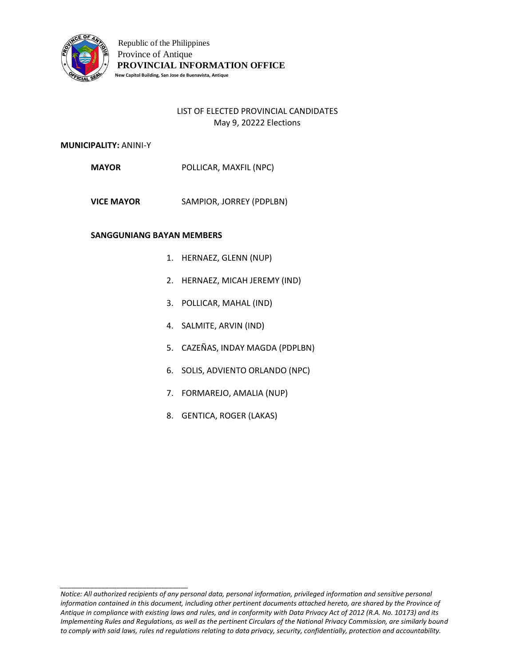

# LIST OF ELECTED PROVINCIAL CANDIDATES May 9, 20222 Elections

## **MUNICIPALITY:** ANINI-Y

**MAYOR** POLLICAR, MAXFIL (NPC)

**VICE MAYOR** SAMPIOR, JORREY (PDPLBN)

## **SANGGUNIANG BAYAN MEMBERS**

- 1. HERNAEZ, GLENN (NUP)
- 2. HERNAEZ, MICAH JEREMY (IND)
- 3. POLLICAR, MAHAL (IND)
- 4. SALMITE, ARVIN (IND)
- 5. CAZEÑAS, INDAY MAGDA (PDPLBN)
- 6. SOLIS, ADVIENTO ORLANDO (NPC)
- 7. FORMAREJO, AMALIA (NUP)
- 8. GENTICA, ROGER (LAKAS)

*Notice: All authorized recipients of any personal data, personal information, privileged information and sensitive personal information contained in this document, including other pertinent documents attached hereto, are shared by the Province of Antique in compliance with existing laws and rules, and in conformity with Data Privacy Act of 2012 (R.A. No. 10173) and its Implementing Rules and Regulations, as well as the pertinent Circulars of the National Privacy Commission, are similarly bound to comply with said laws, rules nd regulations relating to data privacy, security, confidentially, protection and accountability.*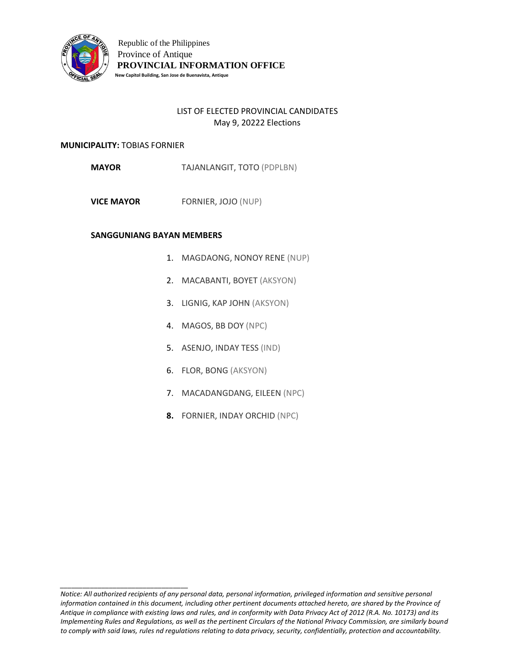

# LIST OF ELECTED PROVINCIAL CANDIDATES May 9, 20222 Elections

### **MUNICIPALITY:** TOBIAS FORNIER

*\_\_\_\_\_\_\_\_\_\_\_\_\_\_\_\_\_\_\_\_\_\_\_\_\_\_\_\_\_\_\_\_\_\_*

**MAYOR** TAJANLANGIT, TOTO (PDPLBN)

**VICE MAYOR** FORNIER, JOJO (NUP)

- 1. MAGDAONG, NONOY RENE (NUP)
- 2. MACABANTI, BOYET (AKSYON)
- 3. LIGNIG, KAP JOHN (AKSYON)
- 4. MAGOS, BB DOY (NPC)
- 5. ASENJO, INDAY TESS (IND)
- 6. FLOR, BONG (AKSYON)
- 7. MACADANGDANG, EILEEN (NPC)
- **8.** FORNIER, INDAY ORCHID (NPC)

*Notice: All authorized recipients of any personal data, personal information, privileged information and sensitive personal information contained in this document, including other pertinent documents attached hereto, are shared by the Province of Antique in compliance with existing laws and rules, and in conformity with Data Privacy Act of 2012 (R.A. No. 10173) and its Implementing Rules and Regulations, as well as the pertinent Circulars of the National Privacy Commission, are similarly bound to comply with said laws, rules nd regulations relating to data privacy, security, confidentially, protection and accountability.*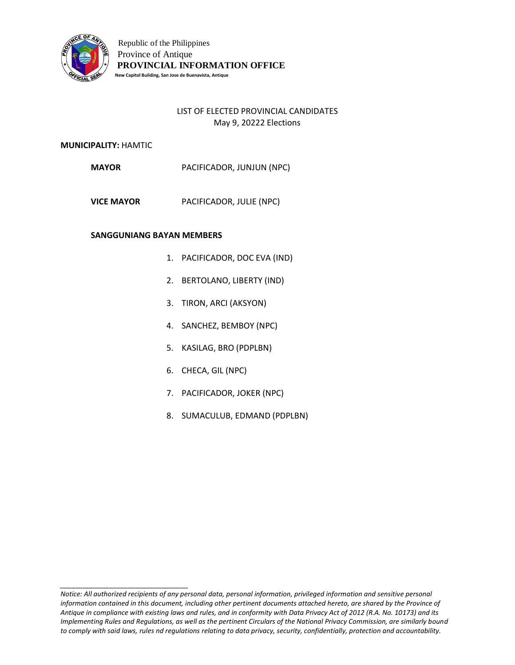

# LIST OF ELECTED PROVINCIAL CANDIDATES May 9, 20222 Elections

## **MUNICIPALITY:** HAMTIC

**MAYOR** PACIFICADOR, JUNJUN (NPC)

**VICE MAYOR** PACIFICADOR, JULIE (NPC)

#### **SANGGUNIANG BAYAN MEMBERS**

- 1. PACIFICADOR, DOC EVA (IND)
- 2. BERTOLANO, LIBERTY (IND)
- 3. TIRON, ARCI (AKSYON)
- 4. SANCHEZ, BEMBOY (NPC)
- 5. KASILAG, BRO (PDPLBN)
- 6. CHECA, GIL (NPC)
- 7. PACIFICADOR, JOKER (NPC)
- 8. SUMACULUB, EDMAND (PDPLBN)

*Notice: All authorized recipients of any personal data, personal information, privileged information and sensitive personal information contained in this document, including other pertinent documents attached hereto, are shared by the Province of Antique in compliance with existing laws and rules, and in conformity with Data Privacy Act of 2012 (R.A. No. 10173) and its Implementing Rules and Regulations, as well as the pertinent Circulars of the National Privacy Commission, are similarly bound to comply with said laws, rules nd regulations relating to data privacy, security, confidentially, protection and accountability.*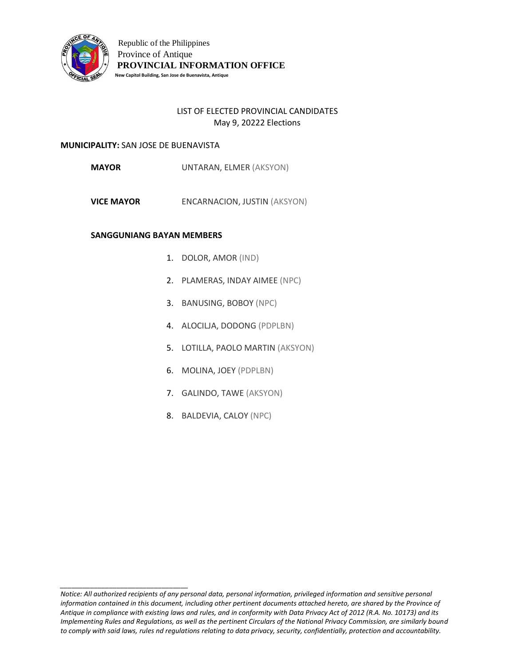

# LIST OF ELECTED PROVINCIAL CANDIDATES May 9, 20222 Elections

## **MUNICIPALITY:** SAN JOSE DE BUENAVISTA

*\_\_\_\_\_\_\_\_\_\_\_\_\_\_\_\_\_\_\_\_\_\_\_\_\_\_\_\_\_\_\_\_\_\_*

**MAYOR** UNTARAN, ELMER (AKSYON)

**VICE MAYOR** ENCARNACION, JUSTIN (AKSYON)

- 1. DOLOR, AMOR (IND)
- 2. PLAMERAS, INDAY AIMEE (NPC)
- 3. BANUSING, BOBOY (NPC)
- 4. ALOCILJA, DODONG (PDPLBN)
- 5. LOTILLA, PAOLO MARTIN (AKSYON)
- 6. MOLINA, JOEY (PDPLBN)
- 7. GALINDO, TAWE (AKSYON)
- 8. BALDEVIA, CALOY (NPC)

*Notice: All authorized recipients of any personal data, personal information, privileged information and sensitive personal information contained in this document, including other pertinent documents attached hereto, are shared by the Province of Antique in compliance with existing laws and rules, and in conformity with Data Privacy Act of 2012 (R.A. No. 10173) and its Implementing Rules and Regulations, as well as the pertinent Circulars of the National Privacy Commission, are similarly bound to comply with said laws, rules nd regulations relating to data privacy, security, confidentially, protection and accountability.*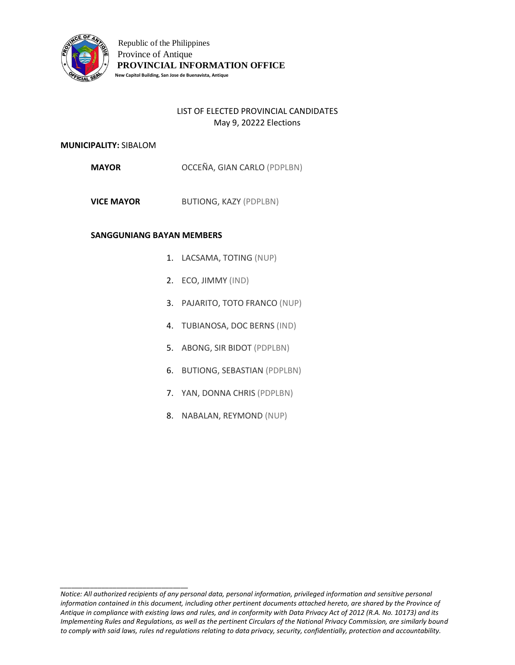

# LIST OF ELECTED PROVINCIAL CANDIDATES May 9, 20222 Elections

### **MUNICIPALITY:** SIBALOM

*\_\_\_\_\_\_\_\_\_\_\_\_\_\_\_\_\_\_\_\_\_\_\_\_\_\_\_\_\_\_\_\_\_\_*

**MAYOR** OCCEÑA, GIAN CARLO (PDPLBN)

**VICE MAYOR** BUTIONG, KAZY (PDPLBN)

- 1. LACSAMA, TOTING (NUP)
- 2. ECO, JIMMY (IND)
- 3. PAJARITO, TOTO FRANCO (NUP)
- 4. TUBIANOSA, DOC BERNS (IND)
- 5. ABONG, SIR BIDOT (PDPLBN)
- 6. BUTIONG, SEBASTIAN (PDPLBN)
- 7. YAN, DONNA CHRIS (PDPLBN)
- 8. NABALAN, REYMOND (NUP)

*Notice: All authorized recipients of any personal data, personal information, privileged information and sensitive personal information contained in this document, including other pertinent documents attached hereto, are shared by the Province of Antique in compliance with existing laws and rules, and in conformity with Data Privacy Act of 2012 (R.A. No. 10173) and its Implementing Rules and Regulations, as well as the pertinent Circulars of the National Privacy Commission, are similarly bound to comply with said laws, rules nd regulations relating to data privacy, security, confidentially, protection and accountability.*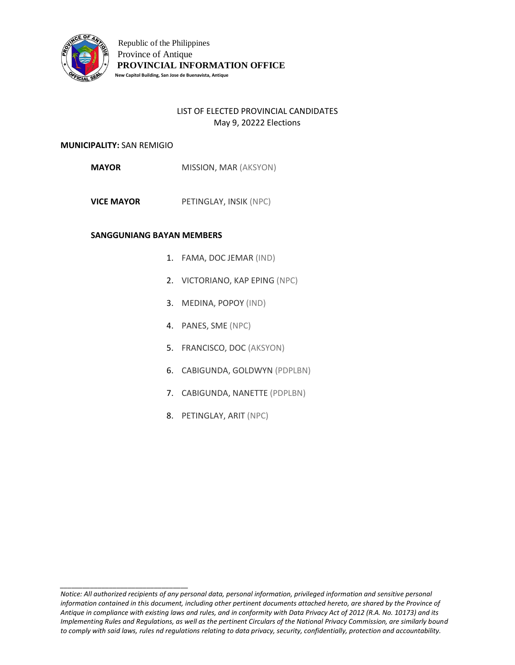

# LIST OF ELECTED PROVINCIAL CANDIDATES May 9, 20222 Elections

### **MUNICIPALITY:** SAN REMIGIO

*\_\_\_\_\_\_\_\_\_\_\_\_\_\_\_\_\_\_\_\_\_\_\_\_\_\_\_\_\_\_\_\_\_\_*

**MAYOR** MISSION, MAR (AKSYON)

**VICE MAYOR** PETINGLAY, INSIK (NPC)

- 1. FAMA, DOC JEMAR (IND)
- 2. VICTORIANO, KAP EPING (NPC)
- 3. MEDINA, POPOY (IND)
- 4. PANES, SME (NPC)
- 5. FRANCISCO, DOC (AKSYON)
- 6. CABIGUNDA, GOLDWYN (PDPLBN)
- 7. CABIGUNDA, NANETTE (PDPLBN)
- 8. PETINGLAY, ARIT (NPC)

*Notice: All authorized recipients of any personal data, personal information, privileged information and sensitive personal information contained in this document, including other pertinent documents attached hereto, are shared by the Province of Antique in compliance with existing laws and rules, and in conformity with Data Privacy Act of 2012 (R.A. No. 10173) and its Implementing Rules and Regulations, as well as the pertinent Circulars of the National Privacy Commission, are similarly bound to comply with said laws, rules nd regulations relating to data privacy, security, confidentially, protection and accountability.*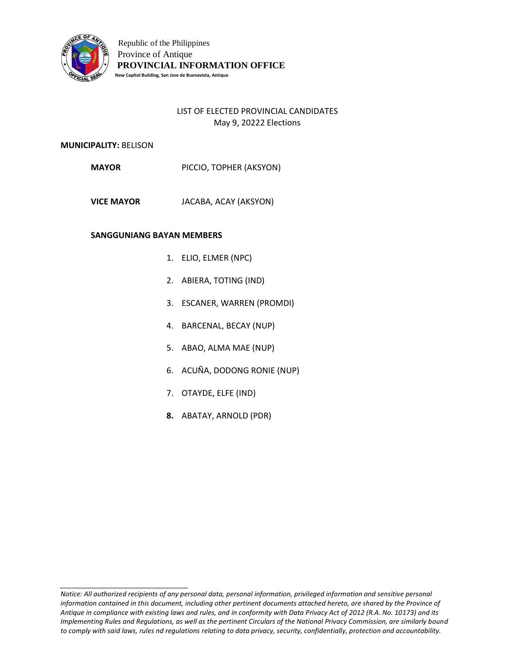

# LIST OF ELECTED PROVINCIAL CANDIDATES May 9, 20222 Elections

## **MUNICIPALITY:** BELISON

**MAYOR** PICCIO, TOPHER (AKSYON)

**VICE MAYOR** JACABA, ACAY (AKSYON)

#### **SANGGUNIANG BAYAN MEMBERS**

- 1. ELIO, ELMER (NPC)
- 2. ABIERA, TOTING (IND)
- 3. ESCANER, WARREN (PROMDI)
- 4. BARCENAL, BECAY (NUP)
- 5. ABAO, ALMA MAE (NUP)
- 6. ACUÑA, DODONG RONIE (NUP)
- 7. OTAYDE, ELFE (IND)
- **8.** ABATAY, ARNOLD (PDR)

*Notice: All authorized recipients of any personal data, personal information, privileged information and sensitive personal information contained in this document, including other pertinent documents attached hereto, are shared by the Province of Antique in compliance with existing laws and rules, and in conformity with Data Privacy Act of 2012 (R.A. No. 10173) and its Implementing Rules and Regulations, as well as the pertinent Circulars of the National Privacy Commission, are similarly bound to comply with said laws, rules nd regulations relating to data privacy, security, confidentially, protection and accountability.*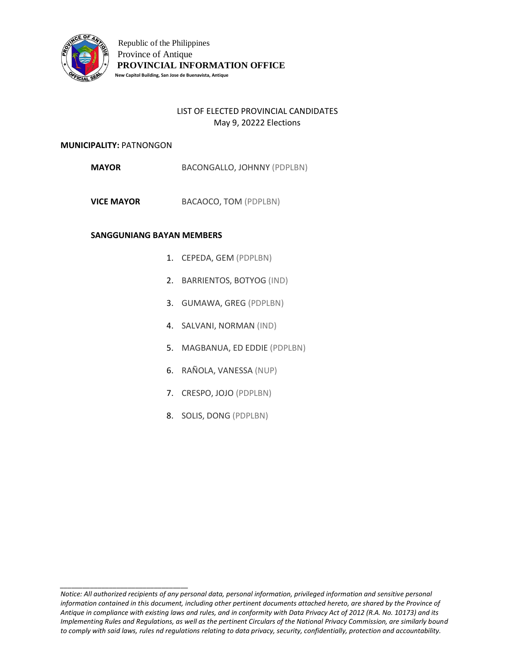

# LIST OF ELECTED PROVINCIAL CANDIDATES May 9, 20222 Elections

#### **MUNICIPALITY:** PATNONGON

*\_\_\_\_\_\_\_\_\_\_\_\_\_\_\_\_\_\_\_\_\_\_\_\_\_\_\_\_\_\_\_\_\_\_*

**MAYOR** BACONGALLO, JOHNNY (PDPLBN)

**VICE MAYOR** BACAOCO, TOM (PDPLBN)

- 1. CEPEDA, GEM (PDPLBN)
- 2. BARRIENTOS, BOTYOG (IND)
- 3. GUMAWA, GREG (PDPLBN)
- 4. SALVANI, NORMAN (IND)
- 5. MAGBANUA, ED EDDIE (PDPLBN)
- 6. RAÑOLA, VANESSA (NUP)
- 7. CRESPO, JOJO (PDPLBN)
- 8. SOLIS, DONG (PDPLBN)

*Notice: All authorized recipients of any personal data, personal information, privileged information and sensitive personal information contained in this document, including other pertinent documents attached hereto, are shared by the Province of Antique in compliance with existing laws and rules, and in conformity with Data Privacy Act of 2012 (R.A. No. 10173) and its Implementing Rules and Regulations, as well as the pertinent Circulars of the National Privacy Commission, are similarly bound to comply with said laws, rules nd regulations relating to data privacy, security, confidentially, protection and accountability.*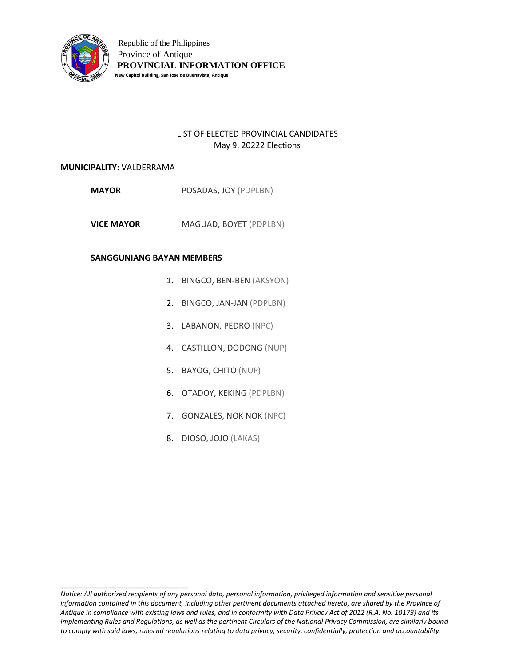

# LIST OF ELECTED PROVINCIAL CANDIDATES May 9, 20222 Elections

#### **MUNICIPALITY:** VALDERRAMA

*\_\_\_\_\_\_\_\_\_\_\_\_\_\_\_\_\_\_\_\_\_\_\_\_\_\_\_\_\_\_\_\_\_\_*

- **MAYOR** POSADAS, JOY (PDPLBN)
- **VICE MAYOR** MAGUAD, BOYET (PDPLBN)

- 1. BINGCO, BEN-BEN (AKSYON)
- 2. BINGCO, JAN-JAN (PDPLBN)
- 3. LABANON, PEDRO (NPC)
- 4. CASTILLON, DODONG (NUP)
- 5. BAYOG, CHITO (NUP)
- 6. OTADOY, KEKING (PDPLBN)
- 7. GONZALES, NOK NOK (NPC)
- 8. DIOSO, JOJO (LAKAS)

*Notice: All authorized recipients of any personal data, personal information, privileged information and sensitive personal*  information contained in this document, including other pertinent documents attached hereto, are shared by the Province of *Antique in compliance with existing laws and rules, and in conformity with Data Privacy Act of 2012 (R.A. No. 10173) and its Implementing Rules and Regulations, as well as the pertinent Circulars of the National Privacy Commission, are similarly bound to comply with said laws, rules nd regulations relating to data privacy, security, confidentially, protection and accountability.*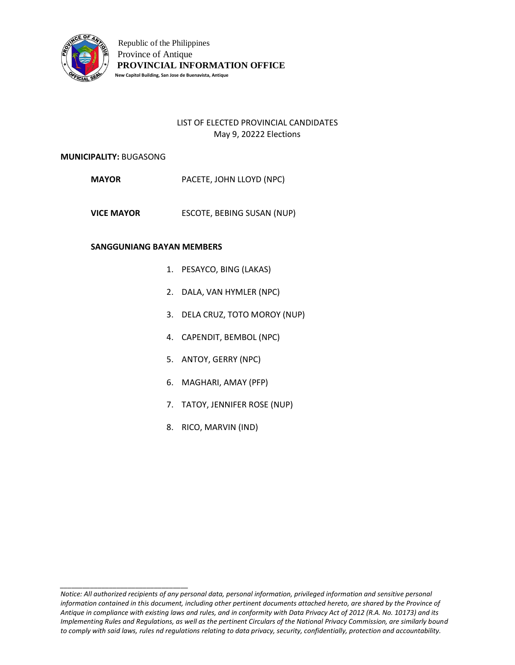

# LIST OF ELECTED PROVINCIAL CANDIDATES May 9, 20222 Elections

#### **MUNICIPALITY:** BUGASONG

*\_\_\_\_\_\_\_\_\_\_\_\_\_\_\_\_\_\_\_\_\_\_\_\_\_\_\_\_\_\_\_\_\_\_*

- **MAYOR** PACETE, JOHN LLOYD (NPC)
- **VICE MAYOR** ESCOTE, BEBING SUSAN (NUP)

- 1. PESAYCO, BING (LAKAS)
- 2. DALA, VAN HYMLER (NPC)
- 3. DELA CRUZ, TOTO MOROY (NUP)
- 4. CAPENDIT, BEMBOL (NPC)
- 5. ANTOY, GERRY (NPC)
- 6. MAGHARI, AMAY (PFP)
- 7. TATOY, JENNIFER ROSE (NUP)
- 8. RICO, MARVIN (IND)

*Notice: All authorized recipients of any personal data, personal information, privileged information and sensitive personal information contained in this document, including other pertinent documents attached hereto, are shared by the Province of Antique in compliance with existing laws and rules, and in conformity with Data Privacy Act of 2012 (R.A. No. 10173) and its Implementing Rules and Regulations, as well as the pertinent Circulars of the National Privacy Commission, are similarly bound to comply with said laws, rules nd regulations relating to data privacy, security, confidentially, protection and accountability.*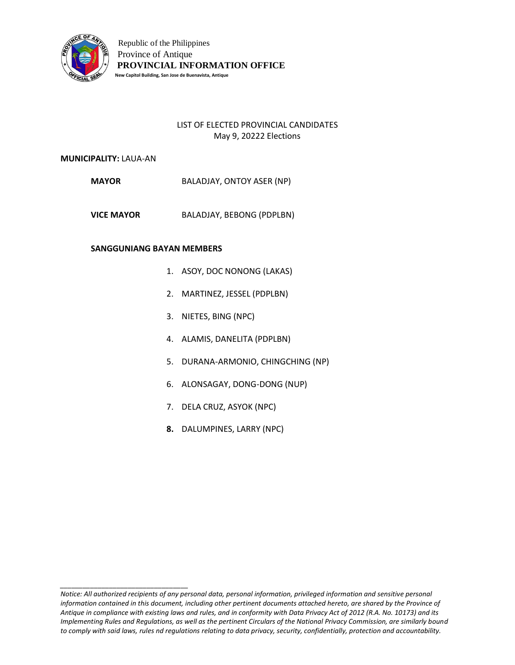

# LIST OF ELECTED PROVINCIAL CANDIDATES May 9, 20222 Elections

#### **MUNICIPALITY:** LAUA-AN

- **MAYOR** BALADJAY, ONTOY ASER (NP)
- **VICE MAYOR** BALADJAY, BEBONG (PDPLBN)

### **SANGGUNIANG BAYAN MEMBERS**

- 1. ASOY, DOC NONONG (LAKAS)
- 2. MARTINEZ, JESSEL (PDPLBN)
- 3. NIETES, BING (NPC)
- 4. ALAMIS, DANELITA (PDPLBN)
- 5. DURANA-ARMONIO, CHINGCHING (NP)
- 6. ALONSAGAY, DONG-DONG (NUP)
- 7. DELA CRUZ, ASYOK (NPC)
- **8.** DALUMPINES, LARRY (NPC)

*Notice: All authorized recipients of any personal data, personal information, privileged information and sensitive personal information contained in this document, including other pertinent documents attached hereto, are shared by the Province of Antique in compliance with existing laws and rules, and in conformity with Data Privacy Act of 2012 (R.A. No. 10173) and its Implementing Rules and Regulations, as well as the pertinent Circulars of the National Privacy Commission, are similarly bound to comply with said laws, rules nd regulations relating to data privacy, security, confidentially, protection and accountability.*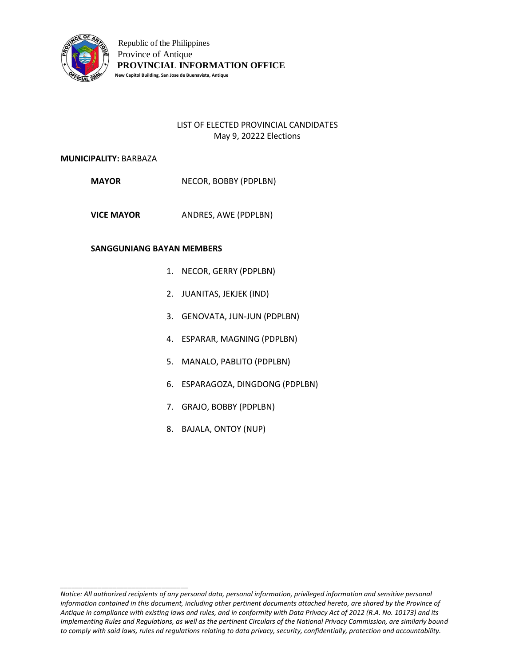

# LIST OF ELECTED PROVINCIAL CANDIDATES May 9, 20222 Elections

#### **MUNICIPALITY:** BARBAZA

**MAYOR** NECOR, BOBBY (PDPLBN)

**VICE MAYOR** ANDRES, AWE (PDPLBN)

## **SANGGUNIANG BAYAN MEMBERS**

- 1. NECOR, GERRY (PDPLBN)
- 2. JUANITAS, JEKJEK (IND)
- 3. GENOVATA, JUN-JUN (PDPLBN)
- 4. ESPARAR, MAGNING (PDPLBN)
- 5. MANALO, PABLITO (PDPLBN)
- 6. ESPARAGOZA, DINGDONG (PDPLBN)
- 7. GRAJO, BOBBY (PDPLBN)
- 8. BAJALA, ONTOY (NUP)

*Notice: All authorized recipients of any personal data, personal information, privileged information and sensitive personal information contained in this document, including other pertinent documents attached hereto, are shared by the Province of Antique in compliance with existing laws and rules, and in conformity with Data Privacy Act of 2012 (R.A. No. 10173) and its Implementing Rules and Regulations, as well as the pertinent Circulars of the National Privacy Commission, are similarly bound to comply with said laws, rules nd regulations relating to data privacy, security, confidentially, protection and accountability.*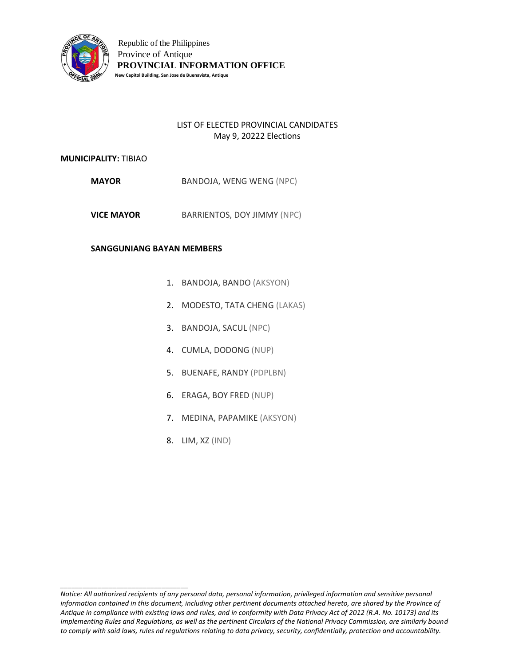

# LIST OF ELECTED PROVINCIAL CANDIDATES May 9, 20222 Elections

### **MUNICIPALITY:** TIBIAO

- **MAYOR** BANDOJA, WENG WENG (NPC)
- **VICE MAYOR** BARRIENTOS, DOY JIMMY (NPC)

### **SANGGUNIANG BAYAN MEMBERS**

- 1. BANDOJA, BANDO (AKSYON)
- 2. MODESTO, TATA CHENG (LAKAS)
- 3. BANDOJA, SACUL (NPC)
- 4. CUMLA, DODONG (NUP)
- 5. BUENAFE, RANDY (PDPLBN)
- 6. ERAGA, BOY FRED (NUP)
- 7. MEDINA, PAPAMIKE (AKSYON)
- 8. LIM, XZ (IND)

*Notice: All authorized recipients of any personal data, personal information, privileged information and sensitive personal information contained in this document, including other pertinent documents attached hereto, are shared by the Province of Antique in compliance with existing laws and rules, and in conformity with Data Privacy Act of 2012 (R.A. No. 10173) and its Implementing Rules and Regulations, as well as the pertinent Circulars of the National Privacy Commission, are similarly bound to comply with said laws, rules nd regulations relating to data privacy, security, confidentially, protection and accountability.*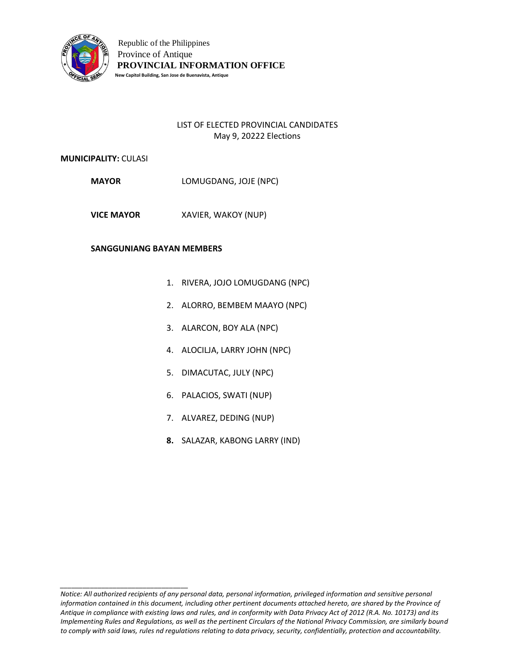

# LIST OF ELECTED PROVINCIAL CANDIDATES May 9, 20222 Elections

## **MUNICIPALITY:** CULASI

**MAYOR** LOMUGDANG, JOJE (NPC)

**VICE MAYOR** XAVIER, WAKOY (NUP)

### **SANGGUNIANG BAYAN MEMBERS**

- 1. RIVERA, JOJO LOMUGDANG (NPC)
- 2. ALORRO, BEMBEM MAAYO (NPC)
- 3. ALARCON, BOY ALA (NPC)
- 4. ALOCILJA, LARRY JOHN (NPC)
- 5. DIMACUTAC, JULY (NPC)
- 6. PALACIOS, SWATI (NUP)
- 7. ALVAREZ, DEDING (NUP)
- **8.** SALAZAR, KABONG LARRY (IND)

*Notice: All authorized recipients of any personal data, personal information, privileged information and sensitive personal information contained in this document, including other pertinent documents attached hereto, are shared by the Province of Antique in compliance with existing laws and rules, and in conformity with Data Privacy Act of 2012 (R.A. No. 10173) and its Implementing Rules and Regulations, as well as the pertinent Circulars of the National Privacy Commission, are similarly bound to comply with said laws, rules nd regulations relating to data privacy, security, confidentially, protection and accountability.*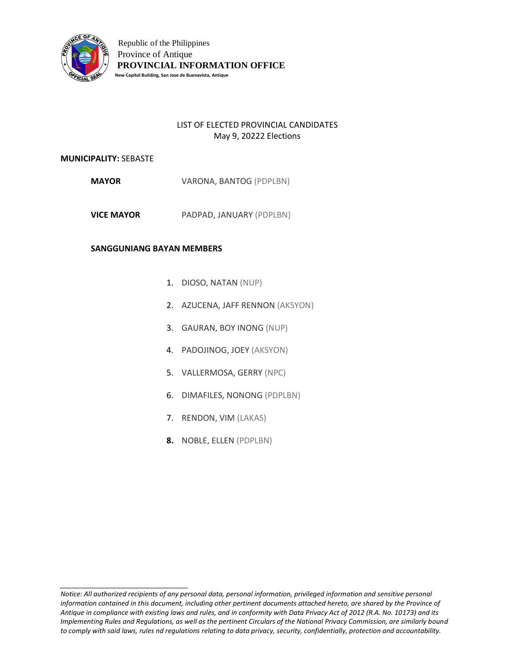

# LIST OF ELECTED PROVINCIAL CANDIDATES May 9, 20222 Elections

#### **MUNICIPALITY:** SEBASTE

- **MAYOR** VARONA, BANTOG (PDPLBN)
- **VICE MAYOR** PADPAD, JANUARY (PDPLBN)

## **SANGGUNIANG BAYAN MEMBERS**

- 1. DIOSO, NATAN (NUP)
- 2. AZUCENA, JAFF RENNON (AKSYON)
- 3. GAURAN, BOY INONG (NUP)
- 4. PADOJINOG, JOEY (AKSYON)
- 5. VALLERMOSA, GERRY (NPC)
- 6. DIMAFILES, NONONG (PDPLBN)
- 7. RENDON, VIM (LAKAS)
- **8.** NOBLE, ELLEN (PDPLBN)

*Notice: All authorized recipients of any personal data, personal information, privileged information and sensitive personal information contained in this document, including other pertinent documents attached hereto, are shared by the Province of Antique in compliance with existing laws and rules, and in conformity with Data Privacy Act of 2012 (R.A. No. 10173) and its Implementing Rules and Regulations, as well as the pertinent Circulars of the National Privacy Commission, are similarly bound to comply with said laws, rules nd regulations relating to data privacy, security, confidentially, protection and accountability.*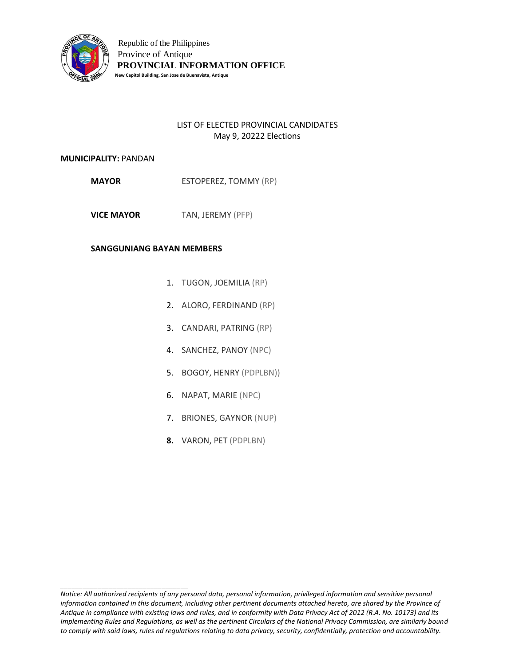

# LIST OF ELECTED PROVINCIAL CANDIDATES May 9, 20222 Elections

### **MUNICIPALITY:** PANDAN

**MAYOR** ESTOPEREZ, TOMMY (RP)

**VICE MAYOR** TAN, JEREMY (PFP)

## **SANGGUNIANG BAYAN MEMBERS**

- 1. TUGON, JOEMILIA (RP)
- 2. ALORO, FERDINAND (RP)
- 3. CANDARI, PATRING (RP)
- 4. SANCHEZ, PANOY (NPC)
- 5. BOGOY, HENRY (PDPLBN))
- 6. NAPAT, MARIE (NPC)
- 7. BRIONES, GAYNOR (NUP)
- **8.** VARON, PET (PDPLBN)

*Notice: All authorized recipients of any personal data, personal information, privileged information and sensitive personal information contained in this document, including other pertinent documents attached hereto, are shared by the Province of Antique in compliance with existing laws and rules, and in conformity with Data Privacy Act of 2012 (R.A. No. 10173) and its Implementing Rules and Regulations, as well as the pertinent Circulars of the National Privacy Commission, are similarly bound to comply with said laws, rules nd regulations relating to data privacy, security, confidentially, protection and accountability.*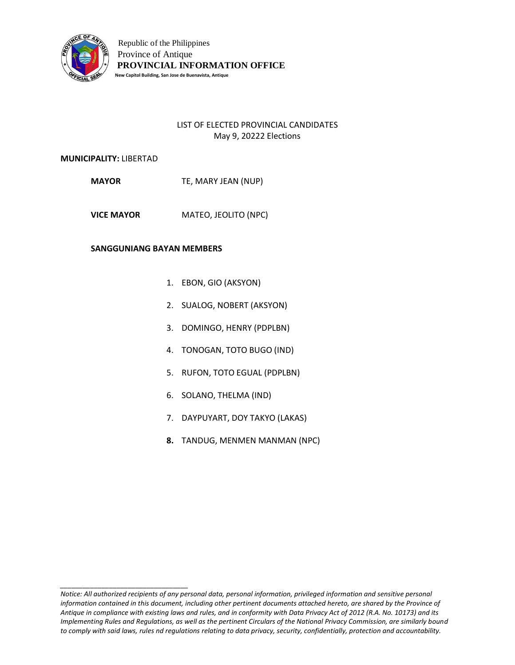

# LIST OF ELECTED PROVINCIAL CANDIDATES May 9, 20222 Elections

### **MUNICIPALITY:** LIBERTAD

*\_\_\_\_\_\_\_\_\_\_\_\_\_\_\_\_\_\_\_\_\_\_\_\_\_\_\_\_\_\_\_\_\_\_*

**MAYOR** TE, MARY JEAN (NUP)

**VICE MAYOR** MATEO, JEOLITO (NPC)

- 1. EBON, GIO (AKSYON)
- 2. SUALOG, NOBERT (AKSYON)
- 3. DOMINGO, HENRY (PDPLBN)
- 4. TONOGAN, TOTO BUGO (IND)
- 5. RUFON, TOTO EGUAL (PDPLBN)
- 6. SOLANO, THELMA (IND)
- 7. DAYPUYART, DOY TAKYO (LAKAS)
- **8.** TANDUG, MENMEN MANMAN (NPC)

*Notice: All authorized recipients of any personal data, personal information, privileged information and sensitive personal information contained in this document, including other pertinent documents attached hereto, are shared by the Province of Antique in compliance with existing laws and rules, and in conformity with Data Privacy Act of 2012 (R.A. No. 10173) and its Implementing Rules and Regulations, as well as the pertinent Circulars of the National Privacy Commission, are similarly bound to comply with said laws, rules nd regulations relating to data privacy, security, confidentially, protection and accountability.*